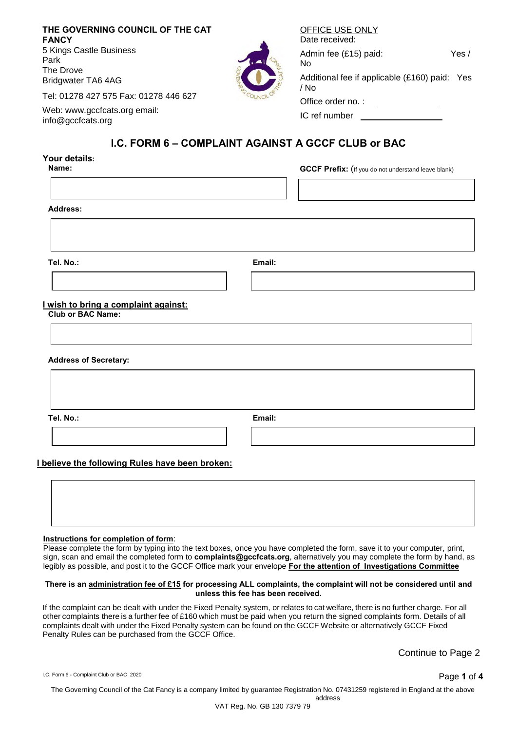| THE GOVERNING COUNCIL OF THE CAT<br><b>FANCY</b>  | OFFICE USE ONLY<br>Date received:                     |       |
|---------------------------------------------------|-------------------------------------------------------|-------|
| 5 Kings Castle Business<br>Park<br>The Drove      | Admin fee (£15) paid:<br>No.                          | Yes / |
| <b>Bridgwater TA6 4AG</b>                         | Additional fee if applicable (£160) paid: Yes<br>/ No |       |
| Tel: 01278 427 575 Fax: 01278 446 627             | Office order no.:                                     |       |
| Web: www.gccfcats.org email:<br>info@gccfcats.org | IC ref number                                         |       |

# **I.C. FORM 6 – COMPLAINT AGAINST A GCCF CLUB or BAC**

# **Your details: GCCF Prefix:** (If you do not understand leave blank) **Address: Tel. No.: Email: I wish to bring a complaint against: Club or BAC Name: Address of Secretary: Tel. No.: Email:**

## **I believe the following Rules have been broken:**

#### **Instructions for completion of form**:

Please complete the form by typing into the text boxes, once you have completed the form, save it to your computer, print, sign, scan and email the completed form to **complaints@gccfcats.org**, alternatively you may complete the form by hand, as legibly as possible, and post it to the GCCF Office mark your envelope **For the attention of Investigations Committee**

#### **There is an administration fee of £15 for processing ALL complaints, the complaint will not be considered until and unless this fee has been received.**

If the complaint can be dealt with under the Fixed Penalty system, or relates to cat welfare, there is no further charge. For all other complaints there is a further fee of £160 which must be paid when you return the signed complaints form. Details of all complaints dealt with under the Fixed Penalty system can be found on the GCCF Website or alternatively GCCF Fixed Penalty Rules can be purchased from the GCCF Office.

Continue to Page 2

I.C. Form 6 - Complaint Club or BAC 2020

The Governing Council of the Cat Fancy is a company limited by guarantee Registration No. 07431259 registered in England at the above address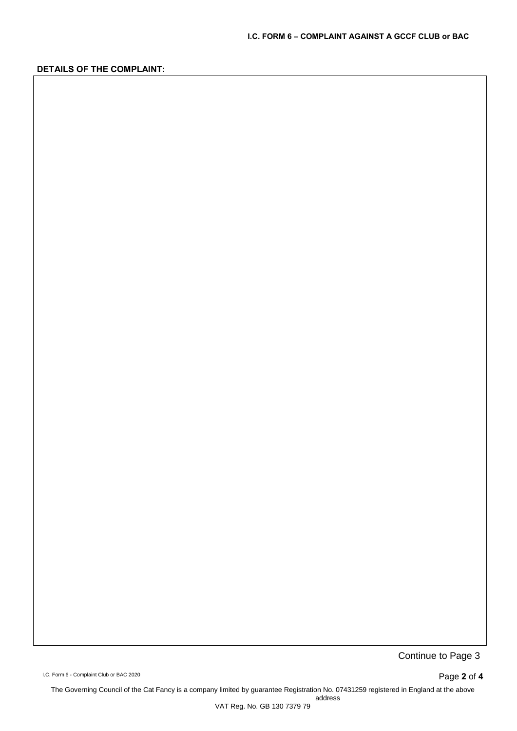## **DETAILS OF THE COMPLAINT:**

Continue to Page 3

I.C. Form 6 - Complaint Club or BAC 2020 **Page 2 of 4** 

The Governing Council of the Cat Fancy is a company limited by guarantee Registration No. 07431259 registered in England at the above address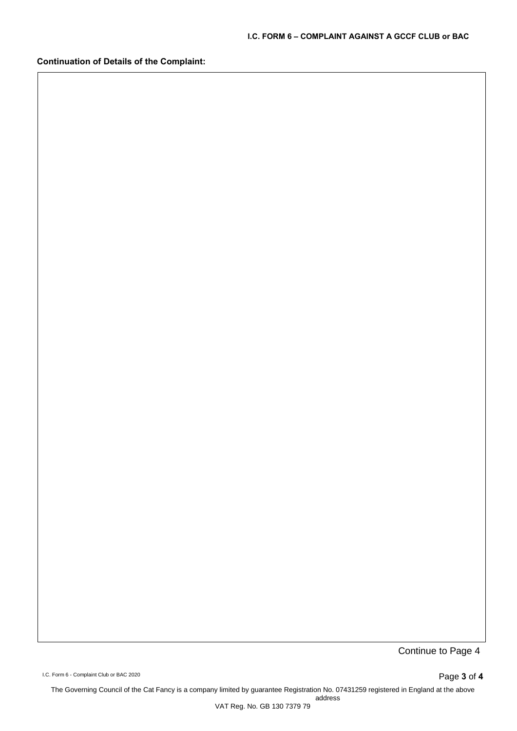**Continuation of Details of the Complaint:**

Continue to Page 4

I.C. Form 6 - Complaint Club or BAC 2020 **Page 3 of 4** 

The Governing Council of the Cat Fancy is a company limited by guarantee Registration No. 07431259 registered in England at the above address